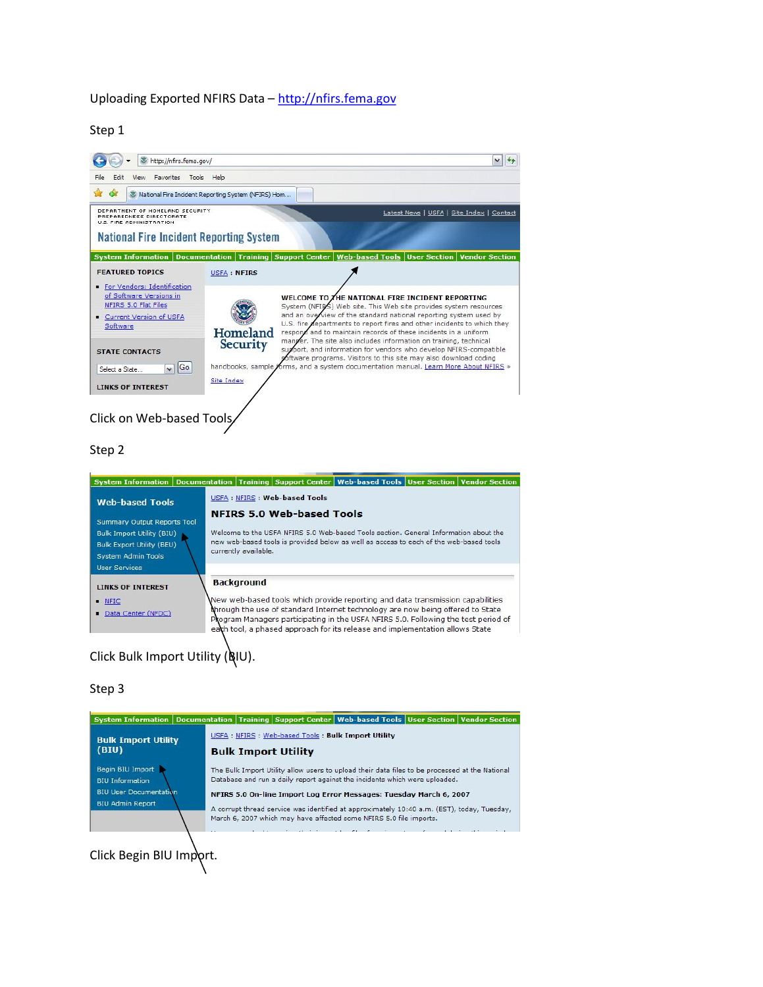## Uploading Exported NFIRS Data – [http://nfirs.fema.gov](http://nfirs.fema.gov/)

Step 1



### Step 2



#### Step 3



Click Begin BIU Import.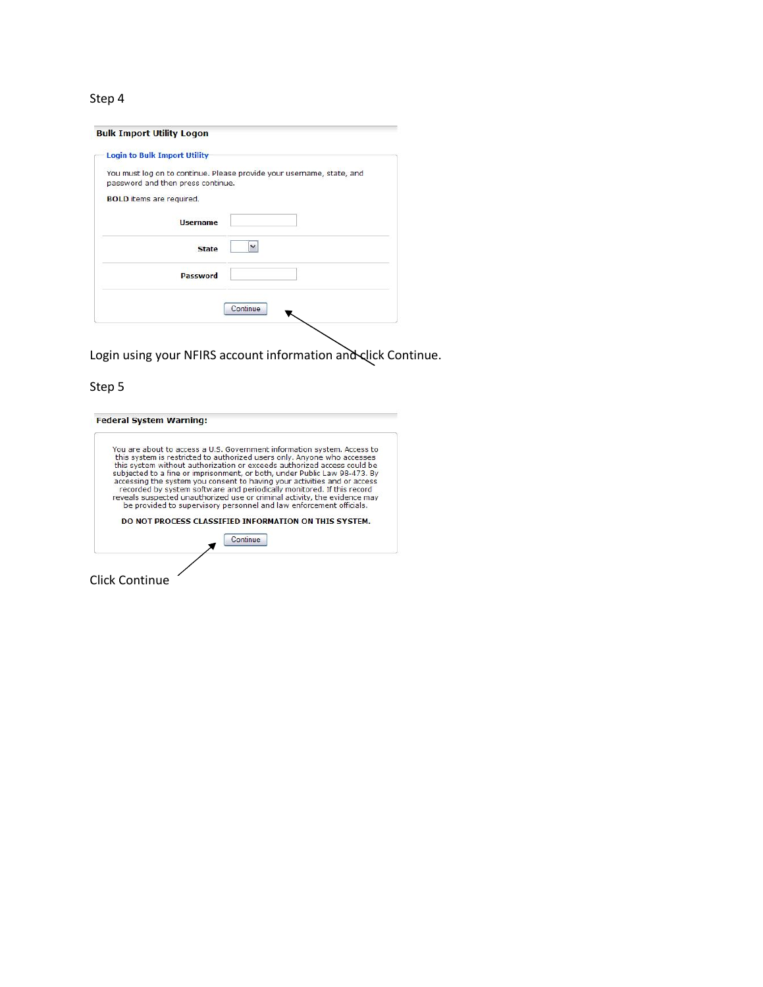# Step 4

| <b>Login to Bulk Import Utility</b> |                                                                       |
|-------------------------------------|-----------------------------------------------------------------------|
| password and then press continue.   | You must log on to continue. Please provide your username, state, and |
| <b>BOLD</b> items are required.     |                                                                       |
| <b>Username</b>                     |                                                                       |
| <b>State</b>                        |                                                                       |
| <b>Password</b>                     |                                                                       |
|                                     |                                                                       |
|                                     | Continue                                                              |

Login using your NFIRS account information and click Continue.

# Step 5

| subjected to a fine or imprisonment, or both, under Public Law 98-473. By<br>accessing the system you consent to having your activities and or access |                                                                        |          |                                                                                                                              |
|-------------------------------------------------------------------------------------------------------------------------------------------------------|------------------------------------------------------------------------|----------|------------------------------------------------------------------------------------------------------------------------------|
| reveals suspected unauthorized use or criminal activity, the evidence may                                                                             | recorded by system software and periodically monitored. If this record |          |                                                                                                                              |
|                                                                                                                                                       |                                                                        |          |                                                                                                                              |
|                                                                                                                                                       |                                                                        |          |                                                                                                                              |
|                                                                                                                                                       |                                                                        | Continue | be provided to supervisory personnel and law enforcement officials.<br>DO NOT PROCESS CLASSIFIED INFORMATION ON THIS SYSTEM. |